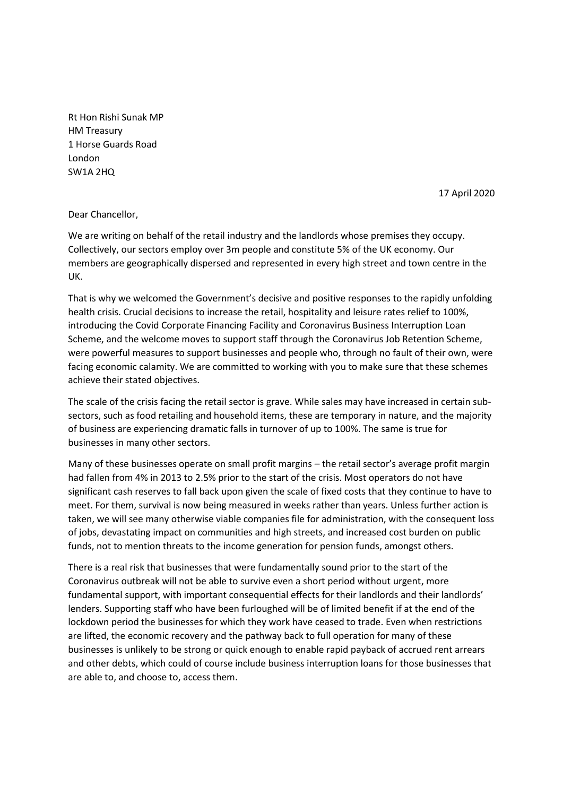Rt Hon Rishi Sunak MP HM Treasury 1 Horse Guards Road London SW1A 2HQ

17 April 2020

## Dear Chancellor,

We are writing on behalf of the retail industry and the landlords whose premises they occupy. Collectively, our sectors employ over 3m people and constitute 5% of the UK economy. Our members are geographically dispersed and represented in every high street and town centre in the UK.

That is why we welcomed the Government's decisive and positive responses to the rapidly unfolding health crisis. Crucial decisions to increase the retail, hospitality and leisure rates relief to 100%, introducing the Covid Corporate Financing Facility and Coronavirus Business Interruption Loan Scheme, and the welcome moves to support staff through the Coronavirus Job Retention Scheme, were powerful measures to support businesses and people who, through no fault of their own, were facing economic calamity. We are committed to working with you to make sure that these schemes achieve their stated objectives.

The scale of the crisis facing the retail sector is grave. While sales may have increased in certain subsectors, such as food retailing and household items, these are temporary in nature, and the majority of business are experiencing dramatic falls in turnover of up to 100%. The same is true for businesses in many other sectors.

Many of these businesses operate on small profit margins – the retail sector's average profit margin had fallen from 4% in 2013 to 2.5% prior to the start of the crisis. Most operators do not have significant cash reserves to fall back upon given the scale of fixed costs that they continue to have to meet. For them, survival is now being measured in weeks rather than years. Unless further action is taken, we will see many otherwise viable companies file for administration, with the consequent loss of jobs, devastating impact on communities and high streets, and increased cost burden on public funds, not to mention threats to the income generation for pension funds, amongst others.

There is a real risk that businesses that were fundamentally sound prior to the start of the Coronavirus outbreak will not be able to survive even a short period without urgent, more fundamental support, with important consequential effects for their landlords and their landlords' lenders. Supporting staff who have been furloughed will be of limited benefit if at the end of the lockdown period the businesses for which they work have ceased to trade. Even when restrictions are lifted, the economic recovery and the pathway back to full operation for many of these businesses is unlikely to be strong or quick enough to enable rapid payback of accrued rent arrears and other debts, which could of course include business interruption loans for those businesses that are able to, and choose to, access them.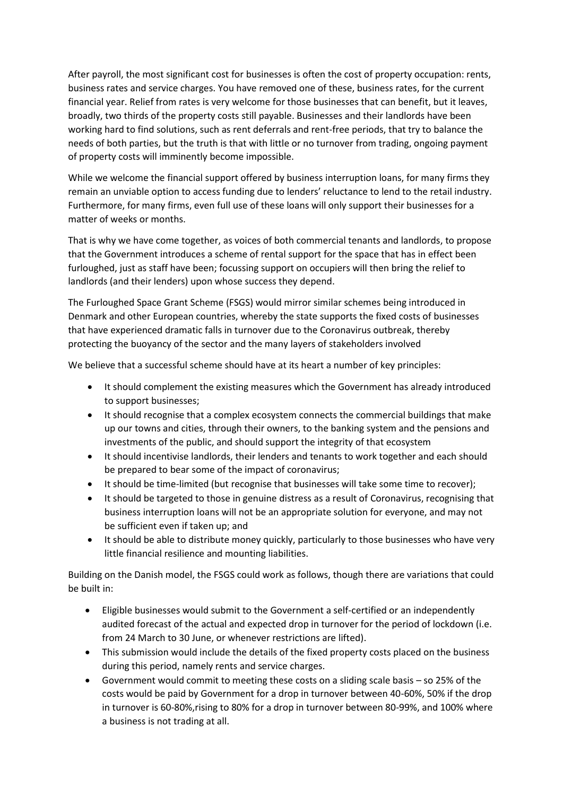After payroll, the most significant cost for businesses is often the cost of property occupation: rents, business rates and service charges. You have removed one of these, business rates, for the current financial year. Relief from rates is very welcome for those businesses that can benefit, but it leaves, broadly, two thirds of the property costs still payable. Businesses and their landlords have been working hard to find solutions, such as rent deferrals and rent-free periods, that try to balance the needs of both parties, but the truth is that with little or no turnover from trading, ongoing payment of property costs will imminently become impossible.

While we welcome the financial support offered by business interruption loans, for many firms they remain an unviable option to access funding due to lenders' reluctance to lend to the retail industry. Furthermore, for many firms, even full use of these loans will only support their businesses for a matter of weeks or months.

That is why we have come together, as voices of both commercial tenants and landlords, to propose that the Government introduces a scheme of rental support for the space that has in effect been furloughed, just as staff have been; focussing support on occupiers will then bring the relief to landlords (and their lenders) upon whose success they depend.

The Furloughed Space Grant Scheme (FSGS) would mirror similar schemes being introduced in Denmark and other European countries, whereby the state supports the fixed costs of businesses that have experienced dramatic falls in turnover due to the Coronavirus outbreak, thereby protecting the buoyancy of the sector and the many layers of stakeholders involved

We believe that a successful scheme should have at its heart a number of key principles:

- It should complement the existing measures which the Government has already introduced to support businesses;
- It should recognise that a complex ecosystem connects the commercial buildings that make up our towns and cities, through their owners, to the banking system and the pensions and investments of the public, and should support the integrity of that ecosystem
- It should incentivise landlords, their lenders and tenants to work together and each should be prepared to bear some of the impact of coronavirus;
- It should be time-limited (but recognise that businesses will take some time to recover);
- It should be targeted to those in genuine distress as a result of Coronavirus, recognising that business interruption loans will not be an appropriate solution for everyone, and may not be sufficient even if taken up; and
- It should be able to distribute money quickly, particularly to those businesses who have very little financial resilience and mounting liabilities.

Building on the Danish model, the FSGS could work as follows, though there are variations that could be built in:

- Eligible businesses would submit to the Government a self-certified or an independently audited forecast of the actual and expected drop in turnover for the period of lockdown (i.e. from 24 March to 30 June, or whenever restrictions are lifted).
- This submission would include the details of the fixed property costs placed on the business during this period, namely rents and service charges.
- Government would commit to meeting these costs on a sliding scale basis so 25% of the costs would be paid by Government for a drop in turnover between 40-60%, 50% if the drop in turnover is 60-80%,rising to 80% for a drop in turnover between 80-99%, and 100% where a business is not trading at all.